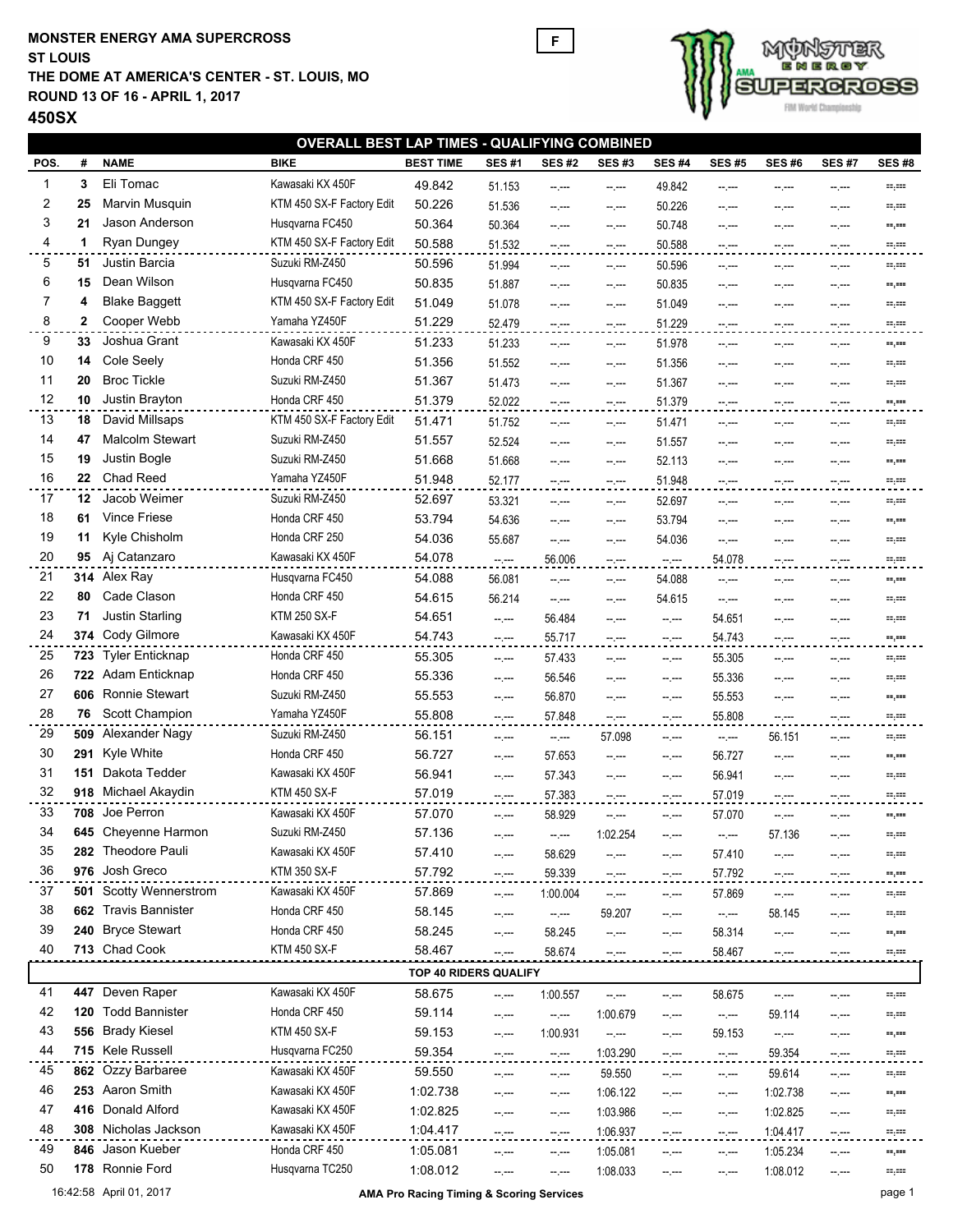## **MONSTER ENERGY AMA SUPERCROSS THE DOME AT AMERICA'S CENTER - ST. LOUIS, MO ROUND 13 OF 16 - APRIL 1, 2017 ST LOUIS**





| <b>OVERALL BEST LAP TIMES - QUALIFYING COMBINED</b> |     |                                           |                                    |                       |                  |                         |                  |                        |                |              |                          |              |
|-----------------------------------------------------|-----|-------------------------------------------|------------------------------------|-----------------------|------------------|-------------------------|------------------|------------------------|----------------|--------------|--------------------------|--------------|
| POS.                                                | #   | <b>NAME</b>                               | <b>BIKE</b>                        | <b>BEST TIME</b>      | <b>SES#1</b>     | <b>SES #2</b>           | <b>SES#3</b>     | <b>SES#4</b>           | <b>SES#5</b>   | <b>SES#6</b> | <b>SES#7</b>             | <b>SES#8</b> |
| $\mathbf{1}$                                        | 3   | Eli Tomac                                 | Kawasaki KX 450F                   | 49.842                | 51.153           | --.---                  | $-1$             | 49.842                 | --.---         | --.---       | $-2$                     | mper         |
| $\overline{\mathbf{c}}$                             | 25  | Marvin Musquin                            | KTM 450 SX-F Factory Edit          | 50.226                | 51.536           | --.---                  | $-1$             | 50.226                 | --.---         | --.---       | $-1$                     | m,m          |
| 3                                                   | 21  | Jason Anderson                            | Husqvarna FC450                    | 50.364                | 50.364           | --.---                  | $-1$             | 50.748                 | --.---         | --.---       | $-2 - 1$                 | mper         |
| 4                                                   | 1   | Ryan Dungey                               | KTM 450 SX-F Factory Edit          | 50.588                | 51.532           | $-1$                    | $-1$             | 50.588                 | $-2$           | --.---       | $-1 - 1 - 1 = 0$         | = ==         |
| 5                                                   | 51  | Justin Barcia                             | Suzuki RM-Z450                     | 50.596                | 51.994           | $-1$                    | $-1$             | 50.596                 | $-1$           | --.---       | $-1 - 1 - 1 = 0$         | mper         |
| 6                                                   | 15  | Dean Wilson                               | Husqvarna FC450                    | 50.835                | 51.887           | --.---                  | --.---           | 50.835                 | --.---         | --.---       | --.---                   | ==,==        |
| 7                                                   | 4   | <b>Blake Baggett</b>                      | KTM 450 SX-F Factory Edit          | 51.049                | 51.078           | --.---                  | --.---           | 51.049                 | --.---         | --.---       | $-2.000$                 | =,==         |
| 8                                                   | 2   | Cooper Webb                               | Yamaha YZ450F                      | 51.229                | 52.479           | --.---                  | --.---           | 51.229                 | --.---         | --.---       | $-1 - 1 - 1 = 0$         | mper         |
| 9                                                   | 33  | Joshua Grant                              | Kawasaki KX 450F                   | 51.233                | 51.233           | $-1$                    | $-1$             | 51.978                 | $-1$           | --.---       | $-2 - 1$                 | mper         |
| 10                                                  | 14  | Cole Seely                                | Honda CRF 450                      | 51.356                | 51.552           | $-2 - 1$                | $-2$             | 51.356                 | --.---         | --.---       | $-2 - 1$                 | mper         |
| 11                                                  | 20  | <b>Broc Tickle</b>                        | Suzuki RM-Z450                     | 51.367                | 51.473           | --.---                  | $-2$             | 51.367                 | --.---         | --.---       | --.---                   | ==,==        |
| 12                                                  | 10  | Justin Brayton                            | Honda CRF 450                      | 51.379                | 52.022           | $ -$                    | $-2 - 1$         | 51.379                 | --.---         | --.---       | $-2 - 1$                 | m,m          |
| 13                                                  | 18  | David Millsaps                            | KTM 450 SX-F Factory Edit          | 51.471                | 51.752           | $-2 - 1$                | $-1$             | 51.471                 | --.---         | --.---       | $-2$                     | ==,==        |
| 14                                                  | 47  | <b>Malcolm Stewart</b>                    | Suzuki RM-Z450                     | 51.557                | 52.524           | --.---                  | $-1 - 1 - 1 = 0$ | 51.557                 | --.---         | --.---       | $-1 - 1 - 1 = 0$         | mper         |
| 15                                                  | 19  | Justin Bogle                              | Suzuki RM-Z450                     | 51.668                | 51.668           | $-2 - 1$                | $-2$             | 52.113                 | --.---         | --.---       | $-1 - 1 - 1 = 0$         | m,m          |
| 16                                                  | 22  | Chad Reed                                 | Yamaha YZ450F                      | 51.948                | 52.177           | --.---                  | $-2$             | 51.948                 | --.---         | --.---       |                          | ==,==        |
| 17                                                  | 12  | Jacob Weimer                              | Suzuki RM-Z450                     | 52.697                | 53.321           | $-1$                    | $-1$             | 52.697                 | $-1$           | --.---       | $\sim$ , $\sim$          | =,==         |
| 18                                                  | 61  | <b>Vince Friese</b>                       | Honda CRF 450                      | 53.794                | 54.636           | --.---                  | --.---           | 53.794                 | --.---         | --.---       | $-2$                     | -9.          |
| 19                                                  | 11  | Kyle Chisholm                             | Honda CRF 250                      | 54.036                | 55.687           | $-1$                    | $-1$             | 54.036                 | $-1$           | --.---       |                          | mper         |
| 20                                                  | 95  | Aj Catanzaro                              | Kawasaki KX 450F                   | 54.078                | $-$ , $ -$       | 56.006                  | $-2 - 1$         | $\sim$ , $\sim$        | 54.078         | $-2$         | $-1$<br>$-2$             | m,m          |
| 21                                                  |     | 314 Alex Ray                              | Husqvarna FC450                    | 54.088                | 56.081           |                         |                  | 54.088                 |                |              |                          |              |
| 22                                                  | 80  | Cade Clason                               | Honda CRF 450                      | 54.615                | 56.214           | $- - - -$<br>$-1$       | $-1$             | 54.615                 | $-1$<br>$-1$   | --.---       | $-2$                     | mper<br>mper |
| 23                                                  | 71  | Justin Starling                           | <b>KTM 250 SX-F</b>                | 54.651                | --.---           | 56.484                  | $-1$             |                        | 54.651         | --.---       | $-2$                     | ==,==        |
| 24                                                  |     | 374 Cody Gilmore                          | Kawasaki KX 450F                   | 54.743                |                  | 55.717                  | --.---           | $-2$                   | 54.743         | --.---       | --.---                   | m,m          |
| 25                                                  | 723 | <b>Tyler Enticknap</b>                    | Honda CRF 450                      | 55.305                | $\sim$ , $\sim$  | 57.433                  | $-2 - 1$         | $\sim$ , $\sim$        | 55.305         | $- - - -$    | $-2.000$                 |              |
| 26                                                  | 722 | Adam Enticknap                            | Honda CRF 450                      | 55.336                | --.---           | 56.546                  | --.---           | $-2$                   | 55.336         | --.---       | $-2$                     | m, me        |
| 27                                                  | 606 | Ronnie Stewart                            | Suzuki RM-Z450                     | 55.553                | --.---           | 56.870                  | $-$ . $-$        | $\sim$ $\sim$          | 55.553         | --.---       | $-2.000$                 | mper         |
| 28                                                  | 76  | Scott Champion                            | Yamaha YZ450F                      | 55.808                | $-1$             | 57.848                  | $-1$             | $-2$                   |                | --.---       | $-2$                     | mper         |
| 29                                                  | 509 | Alexander Nagy                            | Suzuki RM-Z450                     | 56.151                | $-2 - 1 - 1 = 0$ |                         | --.---           | $-2$                   | 55.808         |              | $-1 - 1 - 1 = 0$         | ==,==        |
| 30                                                  | 291 | Kyle White                                | Honda CRF 450                      | 56.727                | $-1$             | $\sim$ $\sim$<br>57.653 | 57.098           | $-1$                   | $-1$<br>56.727 | 56.151       | $-1$                     | mper         |
| 31                                                  | 151 | Dakota Tedder                             | Kawasaki KX 450F                   | 56.941                | --.---           |                         | $-1 - 1 - 1 = 0$ | --.---                 |                | $-2.000$     | $-2$                     | ==,==        |
| 32                                                  |     | 918 Michael Akaydin                       | <b>KTM 450 SX-F</b>                | 57.019                | --.---           | 57.343                  | $-2$             | $\sim$ , $\sim$        | 56.941         | --.---       | $-2 - 1$                 | mper         |
| 33                                                  |     | 708 Joe Perron                            | Kawasaki KX 450F                   |                       | --.---           | 57.383                  | $-1$             | $-1 - 1 - 1 = 0$       | 57.019         | --.---       | $-1 - 1 - 1 = 0$         | mper         |
|                                                     |     |                                           |                                    | 57.070                | $-2 - 1$         | 58.929                  | --.---           | $-2 - 1$               | 57.070         | --.---       | $-2 - 1$                 | mper         |
| 34<br>35                                            |     | 645 Cheyenne Harmon<br>282 Theodore Pauli | Suzuki RM-Z450<br>Kawasaki KX 450F | 57.136                | $-1$             | -- ---                  | 1:02.254         | $-1$                   | $-$ . $-$      | 57.136       | $-$ , $-$                | =,==         |
| 36                                                  |     | 976 Josh Greco                            | <b>KTM 350 SX-F</b>                | 57.410<br>57.792      | --.---           | 58.629                  | --.---           | $-1$                   | 57.410         | --.---       | --.---                   | -9.          |
| 37                                                  |     | 501 Scotty Wennerstrom                    | Kawasaki KX 450F                   |                       | --.--            | 59.339                  | --.---           | $-2.000$               | 57.792         | --.---       | --.---                   | $=$          |
| 38                                                  |     | 662 Travis Bannister                      | Honda CRF 450                      | 57.869                | -- ---           | 1:00.004                | -- ,---          | $-1$                   | 57.869         | -- ,---      | --.---                   | m, 111       |
| 39                                                  | 240 | <b>Bryce Stewart</b>                      | Honda CRF 450                      | 58.145                | $-1$             | $\sim$                  | 59.207           | --.---                 | $-2$           | 58.145       | --.---                   | =,==         |
| 40                                                  |     | 713 Chad Cook                             | <b>KTM 450 SX-F</b>                | 58.245<br>58.467      | --.---           | 58.245                  | $-2 - 1$         | $-1$                   | 58.314         | --.---       | --.---                   | mper         |
|                                                     |     |                                           |                                    |                       | $-2 - 1 - 1 = 0$ | 58.674                  | --.---           | $-2$                   | 58.467         | --.---       | $-2 - 1$                 | ==,==        |
|                                                     |     |                                           |                                    | TOP 40 RIDERS QUALIFY |                  |                         |                  |                        |                |              |                          |              |
| 41                                                  |     | 447 Deven Raper                           | Kawasaki KX 450F                   | 58.675                | --.---           | 1:00.557                | --;---           | $\sim$ , $\sim$        | 58.675         | --.---       | $-1 - 1 - 1 = 0$         | =,==         |
| 42                                                  | 120 | <b>Todd Bannister</b>                     | Honda CRF 450                      | 59.114                | --.---           | --.---                  | 1:00.679         | $-\,$ $-$              | $-2$           | 59.114       | $\cdots$ , $\cdots$      | =,==         |
| 43                                                  |     | 556 Brady Kiesel                          | <b>KTM 450 SX-F</b>                | 59.153                | -- ---           | 1:00.931                | $-\,$ $-$        | $-1$                   | 59.153         | $-1$         | $-$ . $-$                | -9.          |
| 44                                                  |     | 715 Kele Russell                          | Husqvarna FC250                    | 59.354                | $-1$             | $\sim$ $\sim$           | 1:03.290         | $\sim$ , $\sim$ $\sim$ | $-1$           | 59.354       | $\cdots$ , $\cdots$      | mper         |
| 45                                                  |     | 862 Ozzy Barbaree                         | Kawasaki KX 450F                   | 59.550                | -- ---           | $-1$                    | 59.550           | $- - - -$              | $-1$           | 59.614       | $-1 - 1 - 1 = 0$         | m, me        |
| 46                                                  |     | 253 Aaron Smith                           | Kawasaki KX 450F                   | 1:02.738              | --.---           | $-1$                    | 1:06.122         | $-\,$ $-$              | $-1$           | 1:02.738     | $-1 - 1 - 1 = 0$         | =,==         |
| 47                                                  | 416 | Donald Alford                             | Kawasaki KX 450F                   | 1:02.825              | --.---           | --.---                  | 1:03.986         | --.---                 | $-1$           | 1:02.825     | $-1 - 1 - 1 = 0$         | =,==         |
| 48                                                  |     | 308 Nicholas Jackson                      | Kawasaki KX 450F                   | 1:04.417              | --.---           | $-1$                    | 1:06.937         | $-1 - 1 - 1 = 0$       | $-2$           | 1:04.417     | $-1$                     | = ==         |
| 49                                                  | 846 | Jason Kueber                              | Honda CRF 450                      | 1:05.081              | --.---           | -- ---                  | 1:05.081         | $-1$                   | --.---         | 1:05.234     | $-1 - 1 - 1 = 0$         | =,==         |
| 50                                                  |     | 178 Ronnie Ford                           | Husqvarna TC250                    | 1:08.012              | $-1$             | $-1$                    | 1:08.033         | $-1 - 1 - 1 = 0$       | $-1$           | 1:08.012     | $\overline{\phantom{a}}$ | == ,===      |

**F**